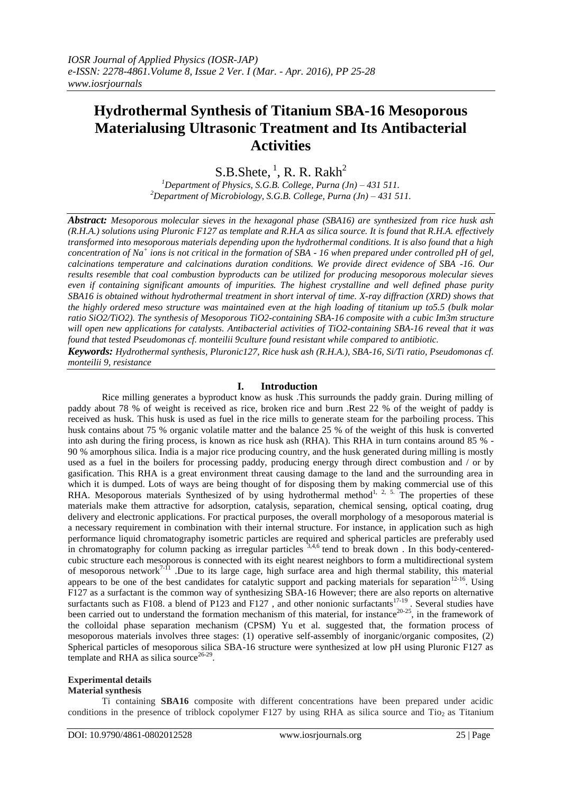# **Hydrothermal Synthesis of Titanium SBA-16 Mesoporous Materialusing Ultrasonic Treatment and Its Antibacterial Activities**

 $S.B.Shete, \frac{1}{2}$ , R. R. Rakh<sup>2</sup>

*<sup>1</sup>Department of Physics, S.G.B. College, Purna (Jn) – 431 511. <sup>2</sup>Department of Microbiology, S.G.B. College, Purna (Jn) – 431 511.*

*Abstract: Mesoporous molecular sieves in the hexagonal phase (SBA16) are synthesized from rice husk ash (R.H.A.) solutions using Pluronic F127 as template and R.H.A as silica source. It is found that R.H.A. effectively transformed into mesoporous materials depending upon the hydrothermal conditions. It is also found that a high concentration of Na<sup>+</sup> ions is not critical in the formation of SBA - 16 when prepared under controlled pH of gel, calcinations temperature and calcinations duration conditions. We provide direct evidence of SBA -16. Our results resemble that coal combustion byproducts can be utilized for producing mesoporous molecular sieves even if containing significant amounts of impurities. The highest crystalline and well defined phase purity SBA16 is obtained without hydrothermal treatment in short interval of time. X-ray diffraction (XRD) shows that the highly ordered meso structure was maintained even at the high loading of titanium up to5.5 (bulk molar ratio SiO2/TiO2). The synthesis of Mesoporous TiO2-containing SBA-16 composite with a cubic Im3m structure will open new applications for catalysts. Antibacterial activities of TiO2-containing SBA-16 reveal that it was found that tested Pseudomonas cf. monteilii 9culture found resistant while compared to antibiotic.*

*Keywords: Hydrothermal synthesis, Pluronic127, Rice husk ash (R.H.A.), SBA-16, Si/Ti ratio, Pseudomonas cf. monteilii 9, resistance*

# **I. Introduction**

Rice milling generates a byproduct know as husk .This surrounds the paddy grain. During milling of paddy about 78 % of weight is received as rice, broken rice and burn .Rest 22 % of the weight of paddy is received as husk. This husk is used as fuel in the rice mills to generate steam for the parboiling process. This husk contains about 75 % organic volatile matter and the balance 25 % of the weight of this husk is converted into ash during the firing process, is known as rice husk ash (RHA). This RHA in turn contains around 85 % - 90 % amorphous silica. India is a major rice producing country, and the husk generated during milling is mostly used as a fuel in the boilers for processing paddy, producing energy through direct combustion and / or by gasification. This RHA is a great environment threat causing damage to the land and the surrounding area in which it is dumped. Lots of ways are being thought of for disposing them by making commercial use of this RHA. Mesoporous materials Synthesized of by using hydrothermal method<sup>1, 2, 5.</sup> The properties of these materials make them attractive for adsorption, catalysis, separation, chemical sensing, optical coating, drug delivery and electronic applications. For practical purposes, the overall morphology of a mesoporous material is a necessary requirement in combination with their internal structure. For instance, in application such as high performance liquid chromatography isometric particles are required and spherical particles are preferably used in chromatography for column packing as irregular particles <sup>3,4,6</sup> tend to break down. In this body-centeredcubic structure each mesoporous is connected with its eight nearest neighbors to form a multidirectional system of mesoporous network<sup>7-11</sup>. Due to its large cage, high surface area and high thermal stability, this material appears to be one of the best candidates for catalytic support and packing materials for separation<sup>12-16</sup>. Using F127 as a surfactant is the common way of synthesizing SBA-16 However; there are also reports on alternative surfactants such as F108. a blend of P123 and F127, and other nonionic surfactants<sup>17-19</sup>. Several studies have been carried out to understand the formation mechanism of this material, for instance<sup>20-25</sup>, in the framework of the colloidal phase separation mechanism (CPSM) Yu et al. suggested that, the formation process of mesoporous materials involves three stages: (1) operative self-assembly of inorganic/organic composites, (2) Spherical particles of mesoporous silica SBA-16 structure were synthesized at low pH using Pluronic F127 as template and RHA as silica source<sup>26-29</sup>.

# **Experimental details**

# **Material synthesis**

Ti containing **SBA16** composite with different concentrations have been prepared under acidic conditions in the presence of triblock copolymer F127 by using RHA as silica source and  $Ti_{02}$  as Titanium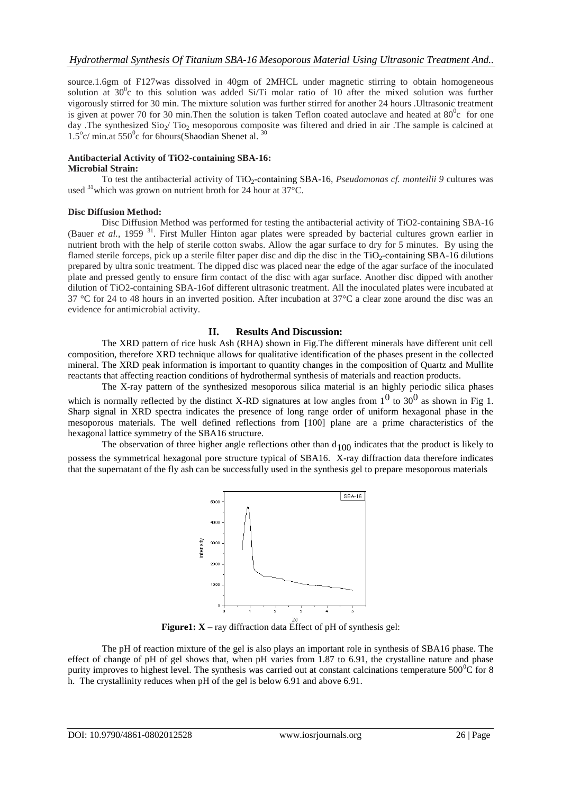source.1.6gm of F127was dissolved in 40gm of 2MHCL under magnetic stirring to obtain homogeneous solution at  $30^{\circ}$ c to this solution was added Si/Ti molar ratio of 10 after the mixed solution was further vigorously stirred for 30 min. The mixture solution was further stirred for another 24 hours .Ultrasonic treatment is given at power 70 for 30 min. Then the solution is taken Teflon coated autoclave and heated at  $80^{\circ}$ c for one day .The synthesized Sio<sub>2</sub>/ Tio<sub>2</sub> mesoporous composite was filtered and dried in air .The sample is calcined at  $1.5^{\circ}$ c/ min.at  $550^{\circ}$ c for 6hours(Shaodian Shenet al.  $30$ 

#### **Antibacterial Activity of TiO2-containing SBA-16: Microbial Strain:**

To test the antibacterial activity of TiO<sub>2</sub>-containing SBA-16, *Pseudomonas cf. monteilii* 9 cultures was used <sup>31</sup>which was grown on nutrient broth for 24 hour at 37°C.

### **Disc Diffusion Method:**

Disc Diffusion Method was performed for testing the antibacterial activity of TiO2-containing SBA-16 (Bauer *et al.,* 1959<sup>31</sup>. First Muller Hinton agar plates were spreaded by bacterial cultures grown earlier in nutrient broth with the help of sterile cotton swabs. Allow the agar surface to dry for 5 minutes. By using the flamed sterile forceps, pick up a sterile filter paper disc and dip the disc in the TiO<sub>2</sub>-containing SBA-16 dilutions prepared by ultra sonic treatment. The dipped disc was placed near the edge of the agar surface of the inoculated plate and pressed gently to ensure firm contact of the disc with agar surface. Another disc dipped with another dilution of TiO2-containing SBA-16of different ultrasonic treatment. All the inoculated plates were incubated at 37 °C for 24 to 48 hours in an inverted position. After incubation at 37 °C a clear zone around the disc was an evidence for antimicrobial activity.

# **II. Results And Discussion:**

The XRD pattern of rice husk Ash (RHA) shown in Fig.The different minerals have different unit cell composition, therefore XRD technique allows for qualitative identification of the phases present in the collected mineral. The XRD peak information is important to quantity changes in the composition of Quartz and Mullite reactants that affecting reaction conditions of hydrothermal synthesis of materials and reaction products.

The X-ray pattern of the synthesized mesoporous silica material is an highly periodic silica phases which is normally reflected by the distinct X-RD signatures at low angles from  $1^0$  to  $30^0$  as shown in Fig 1. Sharp signal in XRD spectra indicates the presence of long range order of uniform hexagonal phase in the mesoporous materials. The well defined reflections from [100] plane are a prime characteristics of the hexagonal lattice symmetry of the SBA16 structure.

The observation of three higher angle reflections other than  $d_{100}$  indicates that the product is likely to possess the symmetrical hexagonal pore structure typical of SBA16. X-ray diffraction data therefore indicates that the supernatant of the fly ash can be successfully used in the synthesis gel to prepare mesoporous materials



**Figure1:**  $X$  – ray diffraction data Effect of pH of synthesis gel:

The pH of reaction mixture of the gel is also plays an important role in synthesis of SBA16 phase. The effect of change of pH of gel shows that, when pH varies from 1.87 to 6.91, the crystalline nature and phase purity improves to highest level. The synthesis was carried out at constant calcinations temperature  $500^{\circ}$ C for 8 h. The crystallinity reduces when pH of the gel is below 6.91 and above 6.91.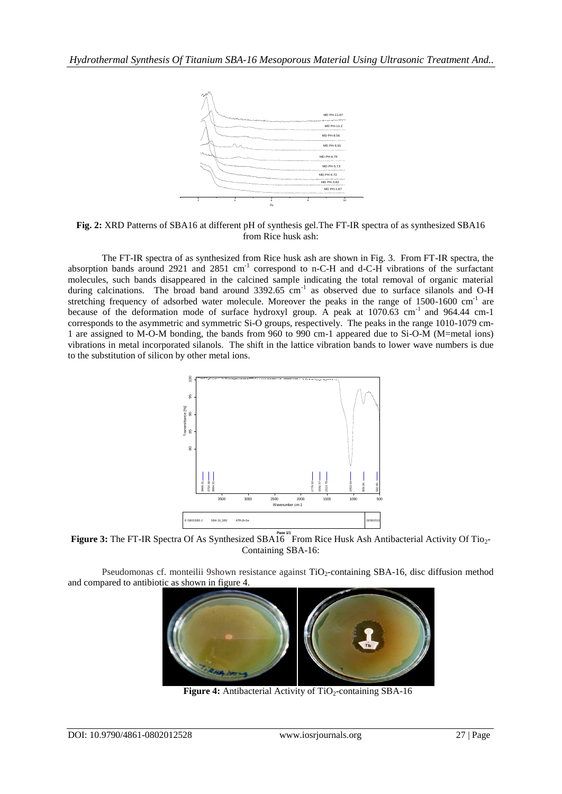

**Fig. 2:** XRD Patterns of SBA16 at different pH of synthesis gel.The FT-IR spectra of as synthesized SBA16 from Rice husk ash:

The FT-IR spectra of as synthesized from Rice husk ash are shown in Fig. 3. From FT-IR spectra, the absorption bands around 2921 and 2851 cm<sup>-1</sup> correspond to n-C-H and d-C-H vibrations of the surfactant molecules, such bands disappeared in the calcined sample indicating the total removal of organic material during calcinations. The broad band around 3392.65 cm<sup>-1</sup> as observed due to surface silanols and O-H stretching frequency of adsorbed water molecule. Moreover the peaks in the range of  $1500-1600$  cm<sup>-1</sup> are because of the deformation mode of surface hydroxyl group. A peak at  $1070.63$  cm<sup>-1</sup> and 964.44 cm-1 corresponds to the asymmetric and symmetric Si-O groups, respectively. The peaks in the range 1010-1079 cm-1 are assigned to M-O-M bonding, the bands from 960 to 990 cm-1 appeared due to Si-O-M (M=metal ions) vibrations in metal incorporated silanols. The shift in the lattice vibration bands to lower wave numbers is due to the substitution of silicon by other metal ions.



**Figure 3:** The FT-IR Spectra Of As Synthesized SBA16 From Rice Husk Ash Antibacterial Activity Of Tio<sub>2</sub>-Containing SBA-16:

Pseudomonas cf. monteilii 9shown resistance against TiO<sub>2</sub>-containing SBA-16, disc diffusion method and compared to antibiotic as shown in figure 4.



**Figure 4:** Antibacterial Activity of TiO<sub>2</sub>-containing SBA-16